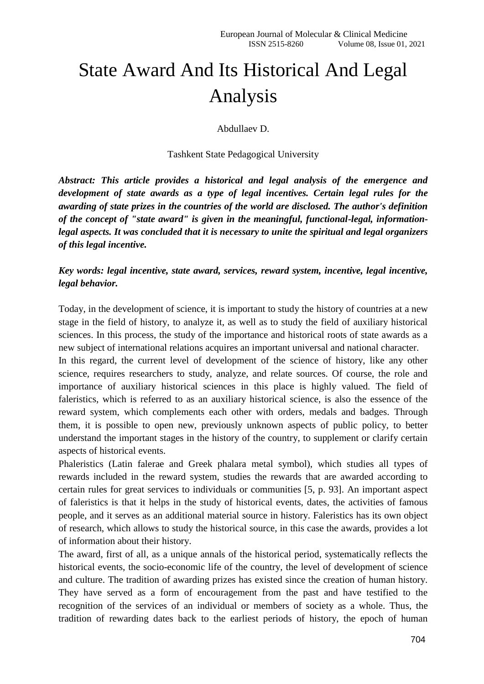## State Award And Its Historical And Legal Analysis

Abdullaev D.

Tashkent State Pedagogical University

*Abstract: This article provides a historical and legal analysis of the emergence and development of state awards as a type of legal incentives. Certain legal rules for the awarding of state prizes in the countries of the world are disclosed. The author's definition of the concept of "state award" is given in the meaningful, functional-legal, informationlegal aspects. It was concluded that it is necessary to unite the spiritual and legal organizers of this legal incentive.*

*Key words: legal incentive, state award, services, reward system, incentive, legal incentive, legal behavior.*

Today, in the development of science, it is important to study the history of countries at a new stage in the field of history, to analyze it, as well as to study the field of auxiliary historical sciences. In this process, the study of the importance and historical roots of state awards as a new subject of international relations acquires an important universal and national character.

In this regard, the current level of development of the science of history, like any other science, requires researchers to study, analyze, and relate sources. Of course, the role and importance of auxiliary historical sciences in this place is highly valued. The field of faleristics, which is referred to as an auxiliary historical science, is also the essence of the reward system, which complements each other with orders, medals and badges. Through them, it is possible to open new, previously unknown aspects of public policy, to better understand the important stages in the history of the country, to supplement or clarify certain aspects of historical events.

Phaleristics (Latin falerae and Greek phalara metal symbol), which studies all types of rewards included in the reward system, studies the rewards that are awarded according to certain rules for great services to individuals or communities [5, p. 93]. An important aspect of faleristics is that it helps in the study of historical events, dates, the activities of famous people, and it serves as an additional material source in history. Faleristics has its own object of research, which allows to study the historical source, in this case the awards, provides a lot of information about their history.

The award, first of all, as a unique annals of the historical period, systematically reflects the historical events, the socio-economic life of the country, the level of development of science and culture. The tradition of awarding prizes has existed since the creation of human history. They have served as a form of encouragement from the past and have testified to the recognition of the services of an individual or members of society as a whole. Thus, the tradition of rewarding dates back to the earliest periods of history, the epoch of human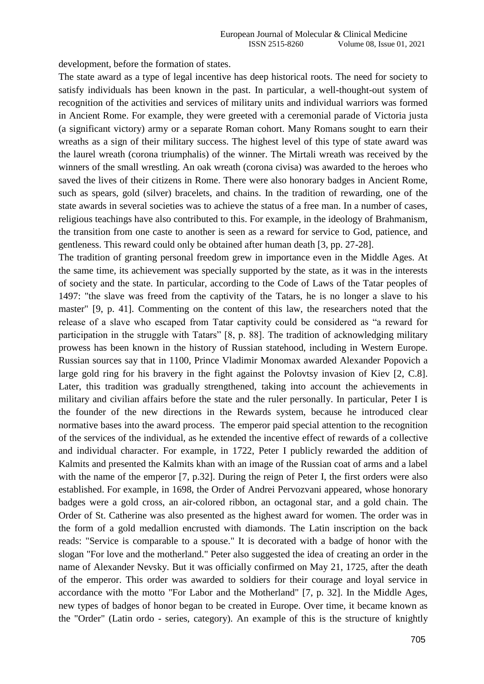development, before the formation of states.

The state award as a type of legal incentive has deep historical roots. The need for society to satisfy individuals has been known in the past. In particular, a well-thought-out system of recognition of the activities and services of military units and individual warriors was formed in Ancient Rome. For example, they were greeted with a ceremonial parade of Victoria justa (a significant victory) army or a separate Roman cohort. Many Romans sought to earn their wreaths as a sign of their military success. The highest level of this type of state award was the laurel wreath (corona triumphalis) of the winner. The Mirtali wreath was received by the winners of the small wrestling. An oak wreath (corona civisa) was awarded to the heroes who saved the lives of their citizens in Rome. There were also honorary badges in Ancient Rome, such as spears, gold (silver) bracelets, and chains. In the tradition of rewarding, one of the state awards in several societies was to achieve the status of a free man. In a number of cases, religious teachings have also contributed to this. For example, in the ideology of Brahmanism, the transition from one caste to another is seen as a reward for service to God, patience, and gentleness. This reward could only be obtained after human death [3, pp. 27-28].

The tradition of granting personal freedom grew in importance even in the Middle Ages. At the same time, its achievement was specially supported by the state, as it was in the interests of society and the state. In particular, according to the Code of Laws of the Tatar peoples of 1497: "the slave was freed from the captivity of the Tatars, he is no longer a slave to his master" [9, p. 41]. Commenting on the content of this law, the researchers noted that the release of a slave who escaped from Tatar captivity could be considered as "a reward for participation in the struggle with Tatars" [8, p. 88]. The tradition of acknowledging military prowess has been known in the history of Russian statehood, including in Western Europe. Russian sources say that in 1100, Prince Vladimir Monomax awarded Alexander Popovich a large gold ring for his bravery in the fight against the Polovtsy invasion of Kiev [2, C.8]. Later, this tradition was gradually strengthened, taking into account the achievements in military and civilian affairs before the state and the ruler personally. In particular, Peter I is the founder of the new directions in the Rewards system, because he introduced clear normative bases into the award process. The emperor paid special attention to the recognition of the services of the individual, as he extended the incentive effect of rewards of a collective and individual character. For example, in 1722, Peter I publicly rewarded the addition of Kalmits and presented the Kalmits khan with an image of the Russian coat of arms and a label with the name of the emperor [7, p.32]. During the reign of Peter I, the first orders were also established. For example, in 1698, the Order of Andrei Pervozvani appeared, whose honorary badges were a gold cross, an air-colored ribbon, an octagonal star, and a gold chain. The Order of St. Catherine was also presented as the highest award for women. The order was in the form of a gold medallion encrusted with diamonds. The Latin inscription on the back reads: "Service is comparable to a spouse." It is decorated with a badge of honor with the slogan "For love and the motherland." Peter also suggested the idea of creating an order in the name of Alexander Nevsky. But it was officially confirmed on May 21, 1725, after the death of the emperor. This order was awarded to soldiers for their courage and loyal service in accordance with the motto "For Labor and the Motherland" [7, p. 32]. In the Middle Ages, new types of badges of honor began to be created in Europe. Over time, it became known as the "Order" (Latin ordo - series, category). An example of this is the structure of knightly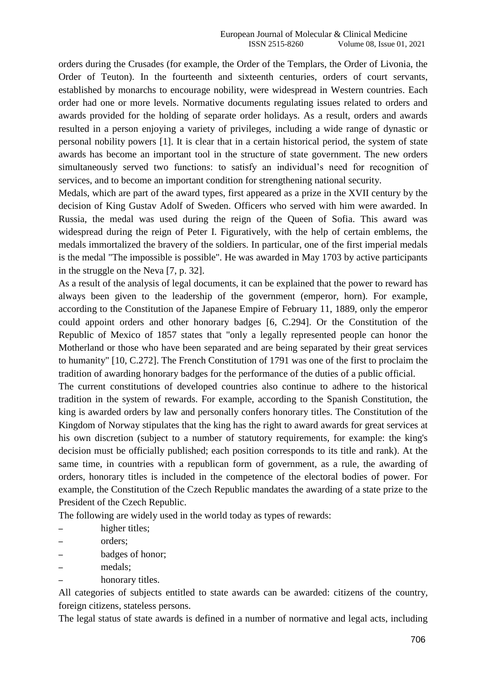orders during the Crusades (for example, the Order of the Templars, the Order of Livonia, the Order of Teuton). In the fourteenth and sixteenth centuries, orders of court servants, established by monarchs to encourage nobility, were widespread in Western countries. Each order had one or more levels. Normative documents regulating issues related to orders and awards provided for the holding of separate order holidays. As a result, orders and awards resulted in a person enjoying a variety of privileges, including a wide range of dynastic or personal nobility powers [1]. It is clear that in a certain historical period, the system of state awards has become an important tool in the structure of state government. The new orders simultaneously served two functions: to satisfy an individual's need for recognition of services, and to become an important condition for strengthening national security.

Medals, which are part of the award types, first appeared as a prize in the XVII century by the decision of King Gustav Adolf of Sweden. Officers who served with him were awarded. In Russia, the medal was used during the reign of the Queen of Sofia. This award was widespread during the reign of Peter I. Figuratively, with the help of certain emblems, the medals immortalized the bravery of the soldiers. In particular, one of the first imperial medals is the medal "The impossible is possible". He was awarded in May 1703 by active participants in the struggle on the Neva [7, p. 32].

As a result of the analysis of legal documents, it can be explained that the power to reward has always been given to the leadership of the government (emperor, horn). For example, according to the Constitution of the Japanese Empire of February 11, 1889, only the emperor could appoint orders and other honorary badges [6, C.294]. Or the Constitution of the Republic of Mexico of 1857 states that "only a legally represented people can honor the Motherland or those who have been separated and are being separated by their great services to humanity" [10, C.272]. The French Constitution of 1791 was one of the first to proclaim the tradition of awarding honorary badges for the performance of the duties of a public official.

The current constitutions of developed countries also continue to adhere to the historical tradition in the system of rewards. For example, according to the Spanish Constitution, the king is awarded orders by law and personally confers honorary titles. The Constitution of the Kingdom of Norway stipulates that the king has the right to award awards for great services at his own discretion (subject to a number of statutory requirements, for example: the king's decision must be officially published; each position corresponds to its title and rank). At the same time, in countries with a republican form of government, as a rule, the awarding of orders, honorary titles is included in the competence of the electoral bodies of power. For example, the Constitution of the Czech Republic mandates the awarding of a state prize to the President of the Czech Republic.

The following are widely used in the world today as types of rewards:

- higher titles;
- orders;
- badges of honor;
- medals;
- honorary titles.

All categories of subjects entitled to state awards can be awarded: citizens of the country, foreign citizens, stateless persons.

The legal status of state awards is defined in a number of normative and legal acts, including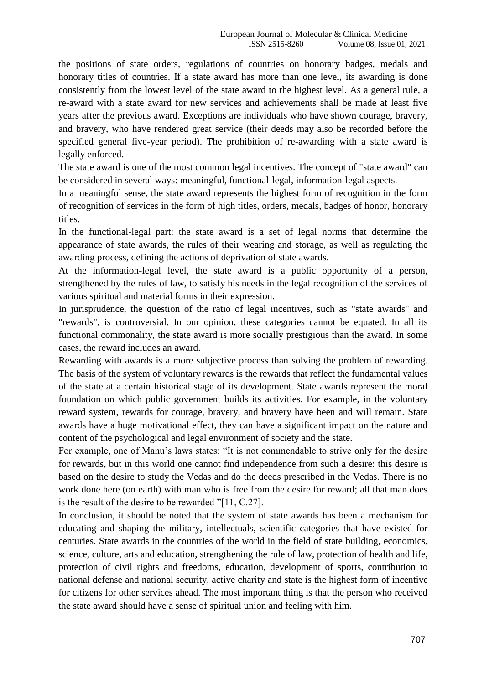the positions of state orders, regulations of countries on honorary badges, medals and honorary titles of countries. If a state award has more than one level, its awarding is done consistently from the lowest level of the state award to the highest level. As a general rule, a re-award with a state award for new services and achievements shall be made at least five years after the previous award. Exceptions are individuals who have shown courage, bravery, and bravery, who have rendered great service (their deeds may also be recorded before the specified general five-year period). The prohibition of re-awarding with a state award is legally enforced.

The state award is one of the most common legal incentives. The concept of "state award" can be considered in several ways: meaningful, functional-legal, information-legal aspects.

In a meaningful sense, the state award represents the highest form of recognition in the form of recognition of services in the form of high titles, orders, medals, badges of honor, honorary titles.

In the functional-legal part: the state award is a set of legal norms that determine the appearance of state awards, the rules of their wearing and storage, as well as regulating the awarding process, defining the actions of deprivation of state awards.

At the information-legal level, the state award is a public opportunity of a person, strengthened by the rules of law, to satisfy his needs in the legal recognition of the services of various spiritual and material forms in their expression.

In jurisprudence, the question of the ratio of legal incentives, such as "state awards" and "rewards", is controversial. In our opinion, these categories cannot be equated. In all its functional commonality, the state award is more socially prestigious than the award. In some cases, the reward includes an award.

Rewarding with awards is a more subjective process than solving the problem of rewarding. The basis of the system of voluntary rewards is the rewards that reflect the fundamental values of the state at a certain historical stage of its development. State awards represent the moral foundation on which public government builds its activities. For example, in the voluntary reward system, rewards for courage, bravery, and bravery have been and will remain. State awards have a huge motivational effect, they can have a significant impact on the nature and content of the psychological and legal environment of society and the state.

For example, one of Manu's laws states: "It is not commendable to strive only for the desire for rewards, but in this world one cannot find independence from such a desire: this desire is based on the desire to study the Vedas and do the deeds prescribed in the Vedas. There is no work done here (on earth) with man who is free from the desire for reward; all that man does is the result of the desire to be rewarded "[11, C.27].

In conclusion, it should be noted that the system of state awards has been a mechanism for educating and shaping the military, intellectuals, scientific categories that have existed for centuries. State awards in the countries of the world in the field of state building, economics, science, culture, arts and education, strengthening the rule of law, protection of health and life, protection of civil rights and freedoms, education, development of sports, contribution to national defense and national security, active charity and state is the highest form of incentive for citizens for other services ahead. The most important thing is that the person who received the state award should have a sense of spiritual union and feeling with him.